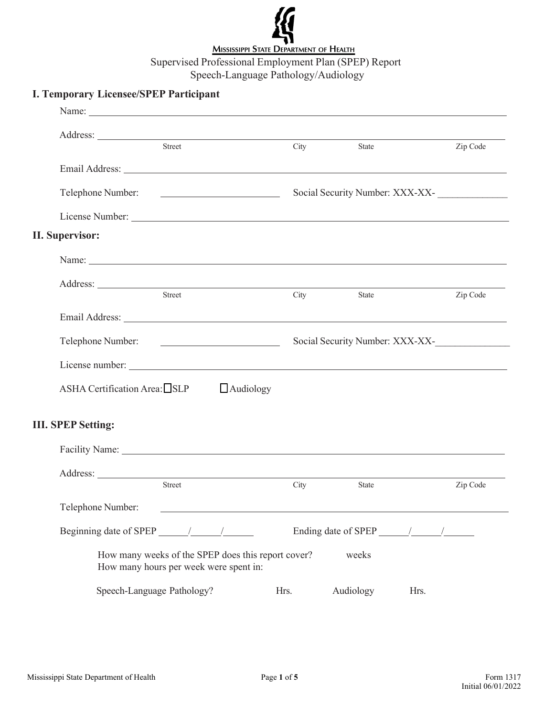

## **I. Temporary Licensee/SPEP Participant** Name: Address: Street City State Zip Code Email Address: Telephone Number: Social Security Number: XXX-XX- \_\_\_\_\_\_\_\_\_\_\_\_\_\_ License Number: **II. Supervisor:** Name:  $\blacksquare$ Address: Street City State Zip Code Email Address: Telephone Number: Social Security Number: XXX-XX-\_\_\_\_\_\_\_\_\_\_\_\_\_\_\_ License number: ASHA Certification Area:  $\Box$ SLP  $\Box$  Audiology **III. SPEP Setting:** Street City State Zip Code Facility Name: Address: Telephone Number: Beginning date of SPEP / / Ending date of SPEP / / How many weeks of the SPEP does this report cover? weeks How many hours per week were spent in: Speech-Language Pathology? Hrs. Audiology Hrs.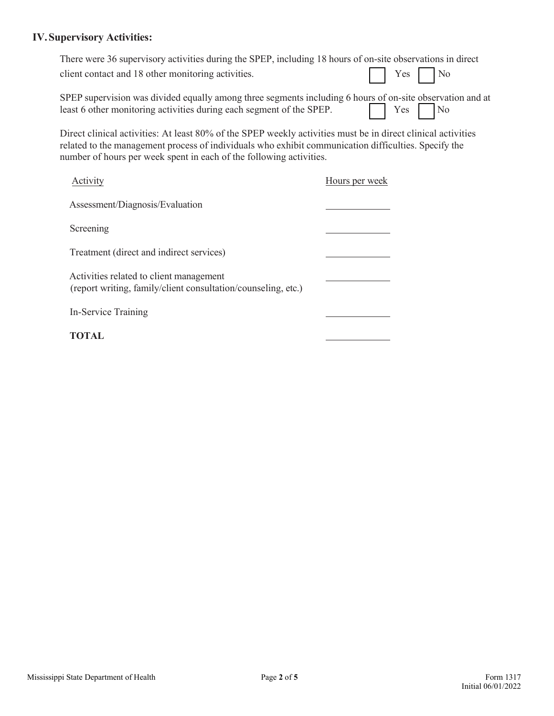## **IV.Supervisory Activities:**

| There were 36 supervisory activities during the SPEP, including 18 hours of on-site observations in direct |           |  |
|------------------------------------------------------------------------------------------------------------|-----------|--|
| client contact and 18 other monitoring activities.                                                         | No Ves No |  |
| SPEP supervision was divided equally among three segments including 6 hours of on-site observation and at  |           |  |

Direct clinical activities: At least 80% of the SPEP weekly activities must be in direct clinical activities related to the management process of individuals who exhibit communication difficulties. Specify the number of hours per week spent in each of the following activities.

least 6 other monitoring activities during each segment of the SPEP.  $\Box$  Yes  $\Box$  No

| Activity                                                                                                 | Hours per week |
|----------------------------------------------------------------------------------------------------------|----------------|
| Assessment/Diagnosis/Evaluation                                                                          |                |
| Screening                                                                                                |                |
| Treatment (direct and indirect services)                                                                 |                |
| Activities related to client management<br>(report writing, family/client consultation/counseling, etc.) |                |
| In-Service Training                                                                                      |                |
| <b>TOTAL</b>                                                                                             |                |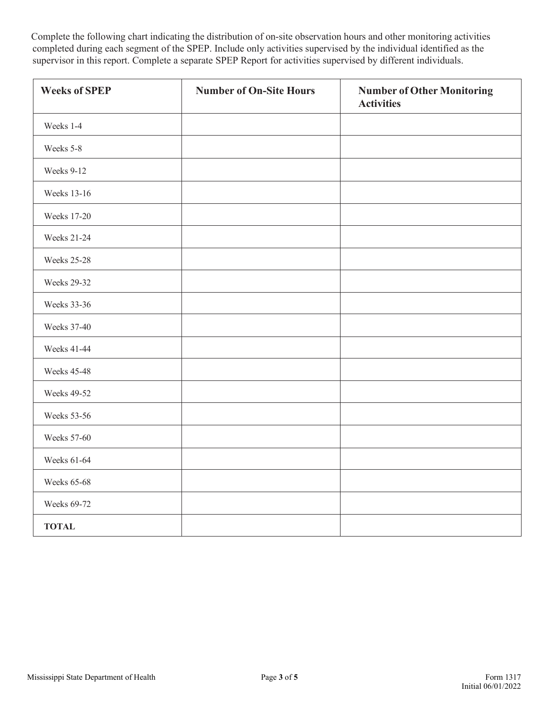Complete the following chart indicating the distribution of on-site observation hours and other monitoring activities completed during each segment of the SPEP. Include only activities supervised by the individual identified as the supervisor in this report. Complete a separate SPEP Report for activities supervised by different individuals.

| <b>Weeks of SPEP</b> | <b>Number of On-Site Hours</b> | <b>Number of Other Monitoring</b><br><b>Activities</b> |
|----------------------|--------------------------------|--------------------------------------------------------|
| Weeks 1-4            |                                |                                                        |
| Weeks 5-8            |                                |                                                        |
| Weeks 9-12           |                                |                                                        |
| Weeks 13-16          |                                |                                                        |
| Weeks 17-20          |                                |                                                        |
| <b>Weeks 21-24</b>   |                                |                                                        |
| <b>Weeks 25-28</b>   |                                |                                                        |
| <b>Weeks 29-32</b>   |                                |                                                        |
| Weeks 33-36          |                                |                                                        |
| Weeks 37-40          |                                |                                                        |
| <b>Weeks 41-44</b>   |                                |                                                        |
| <b>Weeks 45-48</b>   |                                |                                                        |
| <b>Weeks 49-52</b>   |                                |                                                        |
| <b>Weeks 53-56</b>   |                                |                                                        |
| Weeks 57-60          |                                |                                                        |
| Weeks 61-64          |                                |                                                        |
| <b>Weeks 65-68</b>   |                                |                                                        |
| Weeks 69-72          |                                |                                                        |
| <b>TOTAL</b>         |                                |                                                        |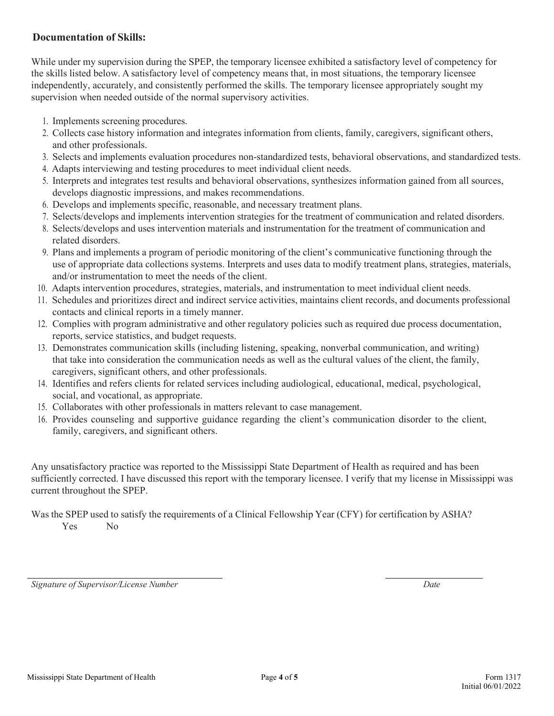## **Documentation of Skills:**

While under my supervision during the SPEP, the temporary licensee exhibited a satisfactory level of competency for the skills listed below. A satisfactory level of competency means that, in most situations, the temporary licensee independently, accurately, and consistently performed the skills. The temporary licensee appropriately sought my supervision when needed outside of the normal supervisory activities.

- 1. Implements screening procedures.
- 2. Collects case history information and integrates information from clients, family, caregivers, significant others, and other professionals.
- 3. Selects and implements evaluation procedures non-standardized tests, behavioral observations, and standardized tests.
- 4. Adapts interviewing and testing procedures to meet individual client needs.
- 5. Interprets and integrates test results and behavioral observations, synthesizes information gained from all sources, develops diagnostic impressions, and makes recommendations.
- 6. Develops and implements specific, reasonable, and necessary treatment plans.
- 7. Selects/develops and implements intervention strategies for the treatment of communication and related disorders.
- 8. Selects/develops and uses intervention materials and instrumentation for the treatment of communication and related disorders.
- 9. Plans and implements a program of periodic monitoring of the client's communicative functioning through the use of appropriate data collections systems. Interprets and uses data to modify treatment plans, strategies, materials, and/or instrumentation to meet the needs of the client.
- 10. Adapts intervention procedures, strategies, materials, and instrumentation to meet individual client needs.
- 11. Schedules and prioritizes direct and indirect service activities, maintains client records, and documents professional contacts and clinical reports in a timely manner.
- 12. Complies with program administrative and other regulatory policies such as required due process documentation, reports, service statistics, and budget requests.
- 13. Demonstrates communication skills (including listening, speaking, nonverbal communication, and writing) that take into consideration the communication needs as well as the cultural values of the client, the family, caregivers, significant others, and other professionals.
- 14. Identifies and refers clients for related services including audiological, educational, medical, psychological, social, and vocational, as appropriate.
- 15. Collaborates with other professionals in matters relevant to case management.
- 16. Provides counseling and supportive guidance regarding the client's communication disorder to the client, family, caregivers, and significant others.

Any unsatisfactory practice was reported to the Mississippi State Department of Health as required and has been sufficiently corrected. I have discussed this report with the temporary licensee. I verify that my license in Mississippi was current throughout the SPEP.

Was the SPEP used to satisfy the requirements of a Clinical Fellowship Year (CFY) for certification by ASHA? Yes No

*Signature of Supervisor/License Number Date*